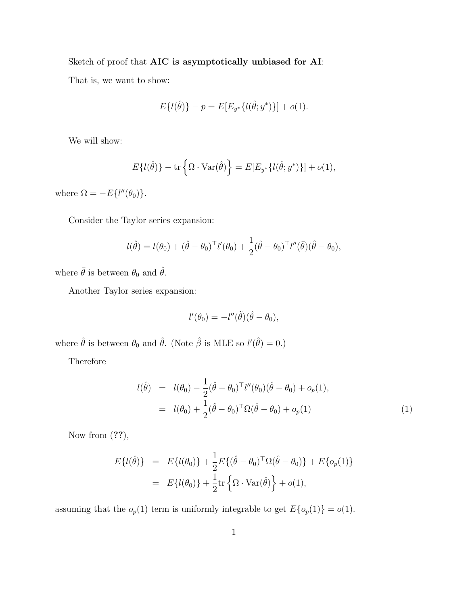## Sketch of proof that AIC is asymptotically unbiased for AI:

That is, we want to show:

$$
E\{l(\hat{\theta})\} - p = E[E_{y^*}\{l(\hat{\theta}; y^*)\}] + o(1).
$$

We will show:

$$
E\{l(\hat{\theta})\} - \text{tr}\left\{\Omega \cdot \text{Var}(\hat{\theta})\right\} = E[E_{y^*}\{l(\hat{\theta}; y^*)\}] + o(1),
$$

where  $\Omega = -E\{l''(\theta_0)\}.$ 

Consider the Taylor series expansion:

$$
l(\hat{\theta}) = l(\theta_0) + (\hat{\theta} - \theta_0)^{\top} l'(\theta_0) + \frac{1}{2} (\hat{\theta} - \theta_0)^{\top} l''(\bar{\theta}) (\hat{\theta} - \theta_0),
$$

where  $\bar{\theta}$  is between  $\theta_0$  and  $\hat{\theta}.$ 

Another Taylor series expansion:

$$
l'(\theta_0) = -l''(\tilde{\theta})(\hat{\theta} - \theta_0),
$$

where  $\tilde{\theta}$  is between  $\theta_0$  and  $\hat{\theta}$ . (Note  $\hat{\beta}$  is MLE so  $l'(\hat{\theta}) = 0$ .)

**Therefore** 

$$
l(\hat{\theta}) = l(\theta_0) - \frac{1}{2}(\hat{\theta} - \theta_0)^{\top} l''(\theta_0)(\hat{\theta} - \theta_0) + o_p(1),
$$
  
=  $l(\theta_0) + \frac{1}{2}(\hat{\theta} - \theta_0)^{\top} \Omega(\hat{\theta} - \theta_0) + o_p(1)$  (1)

Now from  $(??)$ ,

$$
E\{l(\hat{\theta})\} = E\{l(\theta_0)\} + \frac{1}{2}E\{(\hat{\theta} - \theta_0)^{\top} \Omega(\hat{\theta} - \theta_0)\} + E\{o_p(1)\}\
$$
  
= 
$$
E\{l(\theta_0)\} + \frac{1}{2} \text{tr}\left\{\Omega \cdot \text{Var}(\hat{\theta})\right\} + o(1),
$$

assuming that the  $o_p(1)$  term is uniformly integrable to get  $E\{o_p(1)\} = o(1)$ .